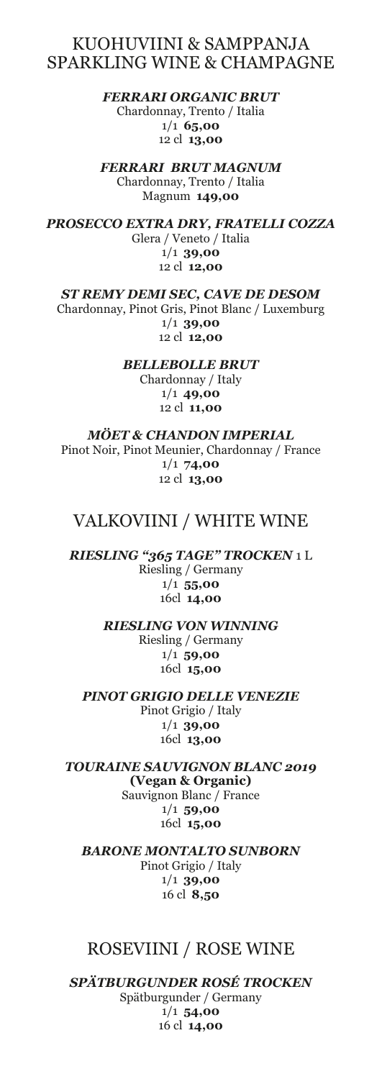## KUOHUVIINI & SAMPPANJA SPARKLING WINE & CHAMPAGNE

*FERRARI ORGANIC BRUT* Chardonnay, Trento / Italia 1/1 **65,00** 12 cl **13,00**

*FERRARI BRUT MAGNUM* Chardonnay, Trento / Italia Magnum **149,00**

*PROSECCO EXTRA DRY, FRATELLI COZZA* Glera / Veneto / Italia 1/1 **39,00** 12 cl **12,00**

*ST REMY DEMI SEC, CAVE DE DESOM* Chardonnay, Pinot Gris, Pinot Blanc / Luxemburg 1/1 **39,00** 12 cl **12,00**

> *BELLEBOLLE BRUT* Chardonnay / Italy 1/1 **49,00** 12 cl **11,00**

*MÖET & CHANDON IMPERIAL* Pinot Noir, Pinot Meunier, Chardonnay / France 1/1 **74,00** 12 cl **13,00**

### VALKOVIINI / WHITE WINE

*RIESLING "365 TAGE" TROCKEN* 1 L Riesling / Germany 1/1 **55,00** 16cl **14,00**

> *RIESLING VON WINNING* Riesling / Germany 1/1 **59,00** 16cl **15,00**

*PINOT GRIGIO DELLE VENEZIE* Pinot Grigio / Italy 1/1 **39,00** 16cl **13,00**

*TOURAINE SAUVIGNON BLANC 2019*  **(Vegan & Organic)** Sauvignon Blanc / France 1/1 **59,00** 16cl **15,00**

*BARONE MONTALTO SUNBORN* Pinot Grigio / Italy 1/1 **39,00** 16 cl **8,50**

### ROSEVIINI / ROSE WINE

*SPÄTBURGUNDER ROSÉ TROCKEN* Spätburgunder / Germany 1/1 **54,00** 16 cl **14,00**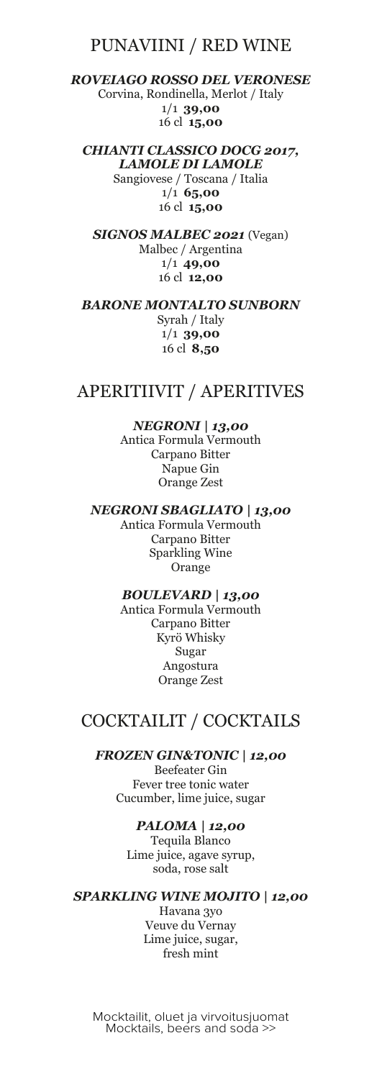### PUNAVIINI / RED WINE

*ROVEIAGO ROSSO DEL VERONESE* Corvina, Rondinella, Merlot / Italy 1/1 **39,00** 16 cl **15,00**

*CHIANTI CLASSICO DOCG 2017, LAMOLE DI LAMOLE* Sangiovese / Toscana / Italia 1/1 **65,00** 16 cl **15,00**

*SIGNOS MALBEC 2021* (Vegan) Malbec / Argentina 1/1 **49,00** 16 cl **12,00**

*BARONE MONTALTO SUNBORN* Syrah / Italy 1/1 **39,00** 16 cl **8,50**

## APERITIIVIT / APERITIVES

#### *NEGRONI | 13,00*

Antica Formula Vermouth Carpano Bitter Napue Gin Orange Zest

#### *NEGRONI SBAGLIATO | 13,00*

Antica Formula Vermouth Carpano Bitter Sparkling Wine Orange

#### *BOULEVARD | 13,00*

Antica Formula Vermouth Carpano Bitter Kyrö Whisky Sugar Angostura Orange Zest

## COCKTAILIT / COCKTAILS

*FROZEN GIN&TONIC | 12,00*

Beefeater Gin Fever tree tonic water Cucumber, lime juice, sugar

#### *PALOMA | 12,00*

Tequila Blanco Lime juice, agave syrup, soda, rose salt

#### *SPARKLING WINE MOJITO | 12,00* Havana 3yo

Veuve du Vernay Lime juice, sugar, fresh mint

Mocktailit, oluet ja virvoitusjuomat Mocktails, beers and soda >>